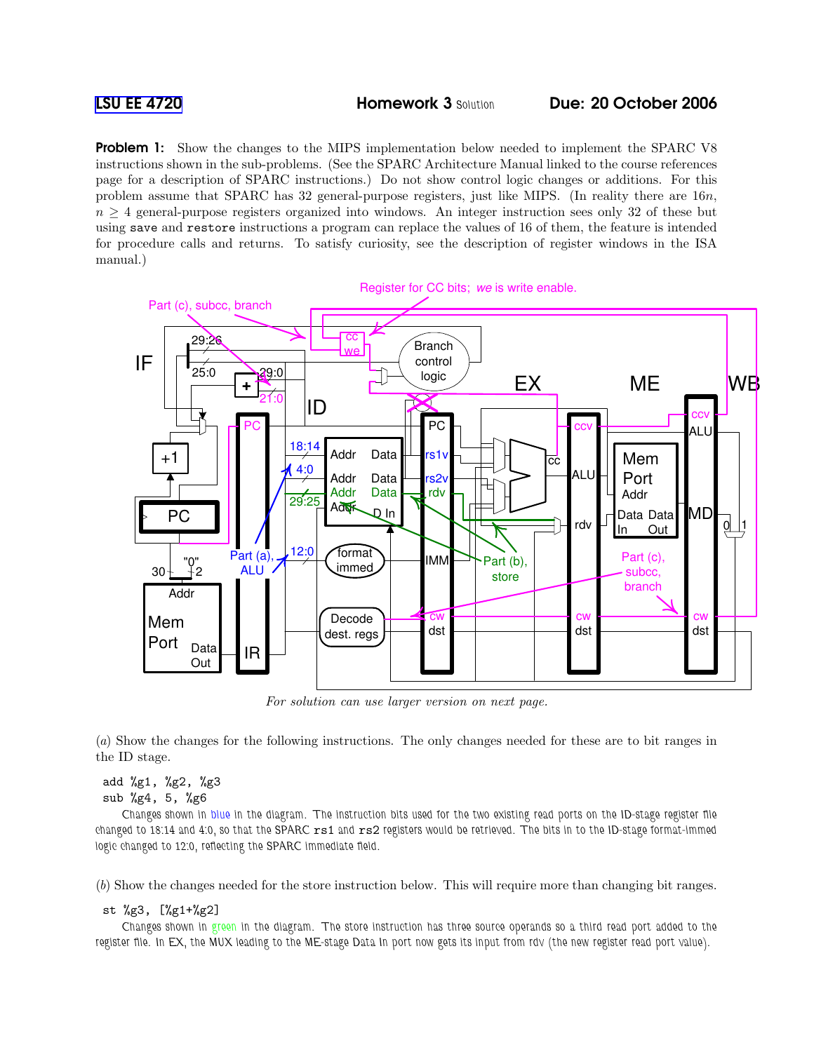Problem 1: Show the changes to the MIPS implementation below needed to implement the SPARC V8 instructions shown in the sub-problems. (See the SPARC Architecture Manual linked to the course references page for a description of SPARC instructions.) Do not show control logic changes or additions. For this problem assume that SPARC has 32 general-purpose registers, just like MIPS. (In reality there are 16n,  $n \geq 4$  general-purpose registers organized into windows. An integer instruction sees only 32 of these but using save and restore instructions a program can replace the values of 16 of them, the feature is intended for procedure calls and returns. To satisfy curiosity, see the description of register windows in the ISA manual.)



For solution can use larger version on next page.

(a) Show the changes for the following instructions. The only changes needed for these are to bit ranges in the ID stage.

## add %g1, %g2, %g3 sub %g4, 5, %g6

Changes shown in blue in the diagram. The instruction bits used for the two existing read ports on the ID-stage register file changed to 18:14 and 4:0, so that the SPARC rs1 and rs2 registers would be retrieved. The bits in to the ID-stage format-immed logic changed to 12:0, reflecting the SPARC immediate field.

(b) Show the changes needed for the store instruction below. This will require more than changing bit ranges.

## st %g3, [%g1+%g2]

Changes shown in green in the diagram. The store instruction has three source operands so a third read port added to the register file. In EX, the MUX leading to the ME-stage Data In port now gets its input from rdv (the new register read port value).